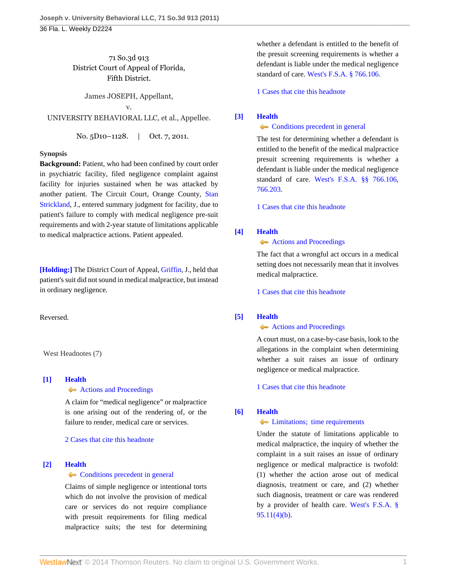71 So.3d 913 District Court of Appeal of Florida, Fifth District.

James JOSEPH, Appellant,

v. UNIVERSITY BEHAVIORAL LLC, et al., Appellee.

No. 5D10-1128. | Oct. 7, 2011.

# **Synopsis**

**Background:** Patient, who had been confined by court order in psychiatric facility, filed negligence complaint against facility for injuries sustained when he was attacked by another patient. The Circuit Court, Orange County, [Stan](http://www.westlaw.com/Link/Document/FullText?findType=h&pubNum=176284&cite=0210959002&originatingDoc=Ic2bf7d2c017b11e1be8fdb5fa26a1033&refType=RQ&originationContext=document&vr=3.0&rs=cblt1.0&transitionType=DocumentItem&contextData=(sc.Default)) [Strickland](http://www.westlaw.com/Link/Document/FullText?findType=h&pubNum=176284&cite=0210959002&originatingDoc=Ic2bf7d2c017b11e1be8fdb5fa26a1033&refType=RQ&originationContext=document&vr=3.0&rs=cblt1.0&transitionType=DocumentItem&contextData=(sc.Default)), J., entered summary judgment for facility, due to patient's failure to comply with medical negligence pre-suit requirements and with 2-year statute of limitations applicable to medical malpractice actions. Patient appealed.

**[\[Holding:\]](#page-1-0)** The District Court of Appeal, [Griffin](http://www.westlaw.com/Link/Document/FullText?findType=h&pubNum=176284&cite=0153455501&originatingDoc=Ic2bf7d2c017b11e1be8fdb5fa26a1033&refType=RQ&originationContext=document&vr=3.0&rs=cblt1.0&transitionType=DocumentItem&contextData=(sc.Default)), J., held that patient's suit did not sound in medical malpractice, but instead in ordinary negligence.

Reversed.

West Headnotes (7)

# <span id="page-0-0"></span>**[\[1\]](#page-3-0) [Health](http://www.westlaw.com/Browse/Home/KeyNumber/198H/View.html?docGuid=Ic2bf7d2c017b11e1be8fdb5fa26a1033&originationContext=document&vr=3.0&rs=cblt1.0&transitionType=DocumentItem&contextData=(sc.Default))**

## **[Actions and Proceedings](http://www.westlaw.com/Browse/Home/KeyNumber/198HV(G)/View.html?docGuid=Ic2bf7d2c017b11e1be8fdb5fa26a1033&originationContext=document&vr=3.0&rs=cblt1.0&transitionType=DocumentItem&contextData=(sc.Default))**

A claim for "medical negligence" or malpractice is one arising out of the rendering of, or the failure to render, medical care or services.

[2 Cases that cite this headnote](http://www.westlaw.com/Link/RelatedInformation/DocHeadnoteLink?docGuid=Ic2bf7d2c017b11e1be8fdb5fa26a1033&headnoteId=202641812800120111227125152&originationContext=document&vr=3.0&rs=cblt1.0&transitionType=CitingReferences&contextData=(sc.Default))

## <span id="page-0-1"></span>**[\[2\]](#page-3-1) [Health](http://www.westlaw.com/Browse/Home/KeyNumber/198H/View.html?docGuid=Ic2bf7d2c017b11e1be8fdb5fa26a1033&originationContext=document&vr=3.0&rs=cblt1.0&transitionType=DocumentItem&contextData=(sc.Default))**

## **[Conditions precedent in general](http://www.westlaw.com/Browse/Home/KeyNumber/198Hk803/View.html?docGuid=Ic2bf7d2c017b11e1be8fdb5fa26a1033&originationContext=document&vr=3.0&rs=cblt1.0&transitionType=DocumentItem&contextData=(sc.Default))**

Claims of simple negligence or intentional torts which do not involve the provision of medical care or services do not require compliance with presuit requirements for filing medical malpractice suits; the test for determining

whether a defendant is entitled to the benefit of the presuit screening requirements is whether a defendant is liable under the medical negligence standard of care. [West's F.S.A. § 766.106](http://www.westlaw.com/Link/Document/FullText?findType=L&pubNum=1000006&cite=FLSTS766.106&originatingDoc=Ic2bf7d2c017b11e1be8fdb5fa26a1033&refType=LQ&originationContext=document&vr=3.0&rs=cblt1.0&transitionType=DocumentItem&contextData=(sc.Default)).

[1 Cases that cite this headnote](http://www.westlaw.com/Link/RelatedInformation/DocHeadnoteLink?docGuid=Ic2bf7d2c017b11e1be8fdb5fa26a1033&headnoteId=202641812800220111227125152&originationContext=document&vr=3.0&rs=cblt1.0&transitionType=CitingReferences&contextData=(sc.Default))

# <span id="page-0-2"></span>**[\[3\]](#page-3-2) [Health](http://www.westlaw.com/Browse/Home/KeyNumber/198H/View.html?docGuid=Ic2bf7d2c017b11e1be8fdb5fa26a1033&originationContext=document&vr=3.0&rs=cblt1.0&transitionType=DocumentItem&contextData=(sc.Default))**

**[Conditions precedent in general](http://www.westlaw.com/Browse/Home/KeyNumber/198Hk803/View.html?docGuid=Ic2bf7d2c017b11e1be8fdb5fa26a1033&originationContext=document&vr=3.0&rs=cblt1.0&transitionType=DocumentItem&contextData=(sc.Default))** 

The test for determining whether a defendant is entitled to the benefit of the medical malpractice presuit screening requirements is whether a defendant is liable under the medical negligence standard of care. [West's F.S.A. §§ 766.106](http://www.westlaw.com/Link/Document/FullText?findType=L&pubNum=1000006&cite=FLSTS766.106&originatingDoc=Ic2bf7d2c017b11e1be8fdb5fa26a1033&refType=LQ&originationContext=document&vr=3.0&rs=cblt1.0&transitionType=DocumentItem&contextData=(sc.Default)), [766.203](http://www.westlaw.com/Link/Document/FullText?findType=L&pubNum=1000006&cite=FLSTS766.203&originatingDoc=Ic2bf7d2c017b11e1be8fdb5fa26a1033&refType=LQ&originationContext=document&vr=3.0&rs=cblt1.0&transitionType=DocumentItem&contextData=(sc.Default)).

[1 Cases that cite this headnote](http://www.westlaw.com/Link/RelatedInformation/DocHeadnoteLink?docGuid=Ic2bf7d2c017b11e1be8fdb5fa26a1033&headnoteId=202641812800320111227125152&originationContext=document&vr=3.0&rs=cblt1.0&transitionType=CitingReferences&contextData=(sc.Default))

# <span id="page-0-3"></span>**[\[4\]](#page-3-3) [Health](http://www.westlaw.com/Browse/Home/KeyNumber/198H/View.html?docGuid=Ic2bf7d2c017b11e1be8fdb5fa26a1033&originationContext=document&vr=3.0&rs=cblt1.0&transitionType=DocumentItem&contextData=(sc.Default))**

## **[Actions and Proceedings](http://www.westlaw.com/Browse/Home/KeyNumber/198HV(G)/View.html?docGuid=Ic2bf7d2c017b11e1be8fdb5fa26a1033&originationContext=document&vr=3.0&rs=cblt1.0&transitionType=DocumentItem&contextData=(sc.Default))**

The fact that a wrongful act occurs in a medical setting does not necessarily mean that it involves medical malpractice.

[1 Cases that cite this headnote](http://www.westlaw.com/Link/RelatedInformation/DocHeadnoteLink?docGuid=Ic2bf7d2c017b11e1be8fdb5fa26a1033&headnoteId=202641812800420111227125152&originationContext=document&vr=3.0&rs=cblt1.0&transitionType=CitingReferences&contextData=(sc.Default))

# <span id="page-0-4"></span>**[\[5\]](#page-3-4) [Health](http://www.westlaw.com/Browse/Home/KeyNumber/198H/View.html?docGuid=Ic2bf7d2c017b11e1be8fdb5fa26a1033&originationContext=document&vr=3.0&rs=cblt1.0&transitionType=DocumentItem&contextData=(sc.Default))**

# **[Actions and Proceedings](http://www.westlaw.com/Browse/Home/KeyNumber/198HV(G)/View.html?docGuid=Ic2bf7d2c017b11e1be8fdb5fa26a1033&originationContext=document&vr=3.0&rs=cblt1.0&transitionType=DocumentItem&contextData=(sc.Default))**

A court must, on a case-by-case basis, look to the allegations in the complaint when determining whether a suit raises an issue of ordinary negligence or medical malpractice.

# [1 Cases that cite this headnote](http://www.westlaw.com/Link/RelatedInformation/DocHeadnoteLink?docGuid=Ic2bf7d2c017b11e1be8fdb5fa26a1033&headnoteId=202641812800520111227125152&originationContext=document&vr=3.0&rs=cblt1.0&transitionType=CitingReferences&contextData=(sc.Default))

# <span id="page-0-5"></span>**[\[6\]](#page-3-5) [Health](http://www.westlaw.com/Browse/Home/KeyNumber/198H/View.html?docGuid=Ic2bf7d2c017b11e1be8fdb5fa26a1033&originationContext=document&vr=3.0&rs=cblt1.0&transitionType=DocumentItem&contextData=(sc.Default))**

# $\leftarrow$  [Limitations; time requirements](http://www.westlaw.com/Browse/Home/KeyNumber/198Hk811/View.html?docGuid=Ic2bf7d2c017b11e1be8fdb5fa26a1033&originationContext=document&vr=3.0&rs=cblt1.0&transitionType=DocumentItem&contextData=(sc.Default))

Under the statute of limitations applicable to medical malpractice, the inquiry of whether the complaint in a suit raises an issue of ordinary negligence or medical malpractice is twofold: (1) whether the action arose out of medical diagnosis, treatment or care, and (2) whether such diagnosis, treatment or care was rendered by a provider of health care. [West's F.S.A. §](http://www.westlaw.com/Link/Document/FullText?findType=L&pubNum=1000006&cite=FLSTS95.11&originatingDoc=Ic2bf7d2c017b11e1be8fdb5fa26a1033&refType=SP&originationContext=document&vr=3.0&rs=cblt1.0&transitionType=DocumentItem&contextData=(sc.Default)#co_pp_ea5b0000e1ba5) [95.11\(4\)\(b\)](http://www.westlaw.com/Link/Document/FullText?findType=L&pubNum=1000006&cite=FLSTS95.11&originatingDoc=Ic2bf7d2c017b11e1be8fdb5fa26a1033&refType=SP&originationContext=document&vr=3.0&rs=cblt1.0&transitionType=DocumentItem&contextData=(sc.Default)#co_pp_ea5b0000e1ba5).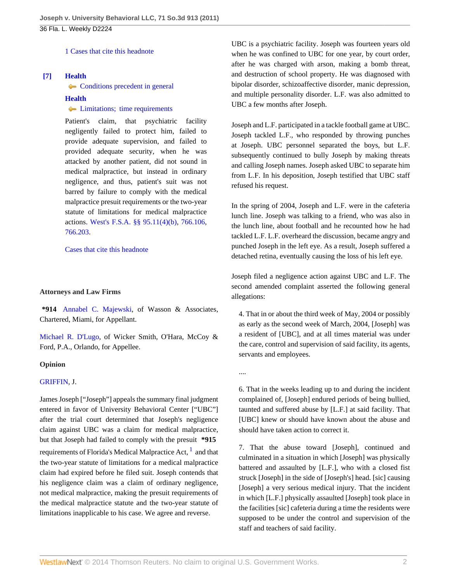[1 Cases that cite this headnote](http://www.westlaw.com/Link/RelatedInformation/DocHeadnoteLink?docGuid=Ic2bf7d2c017b11e1be8fdb5fa26a1033&headnoteId=202641812800620111227125152&originationContext=document&vr=3.0&rs=cblt1.0&transitionType=CitingReferences&contextData=(sc.Default))

# <span id="page-1-0"></span>**[\[7\]](#page-4-0) [Health](http://www.westlaw.com/Browse/Home/KeyNumber/198H/View.html?docGuid=Ic2bf7d2c017b11e1be8fdb5fa26a1033&originationContext=document&vr=3.0&rs=cblt1.0&transitionType=DocumentItem&contextData=(sc.Default))**

• [Conditions precedent in general](http://www.westlaw.com/Browse/Home/KeyNumber/198Hk803/View.html?docGuid=Ic2bf7d2c017b11e1be8fdb5fa26a1033&originationContext=document&vr=3.0&rs=cblt1.0&transitionType=DocumentItem&contextData=(sc.Default))

## **[Health](http://www.westlaw.com/Browse/Home/KeyNumber/198H/View.html?docGuid=Ic2bf7d2c017b11e1be8fdb5fa26a1033&originationContext=document&vr=3.0&rs=cblt1.0&transitionType=DocumentItem&contextData=(sc.Default))**

# **Example 1** [Limitations; time requirements](http://www.westlaw.com/Browse/Home/KeyNumber/198Hk811/View.html?docGuid=Ic2bf7d2c017b11e1be8fdb5fa26a1033&originationContext=document&vr=3.0&rs=cblt1.0&transitionType=DocumentItem&contextData=(sc.Default))

Patient's claim, that psychiatric facility negligently failed to protect him, failed to provide adequate supervision, and failed to provided adequate security, when he was attacked by another patient, did not sound in medical malpractice, but instead in ordinary negligence, and thus, patient's suit was not barred by failure to comply with the medical malpractice presuit requirements or the two-year statute of limitations for medical malpractice actions. [West's F.S.A. §§ 95.11\(4\)\(b\),](http://www.westlaw.com/Link/Document/FullText?findType=L&pubNum=1000006&cite=FLSTS95.11&originatingDoc=Ic2bf7d2c017b11e1be8fdb5fa26a1033&refType=SP&originationContext=document&vr=3.0&rs=cblt1.0&transitionType=DocumentItem&contextData=(sc.Default)#co_pp_ea5b0000e1ba5) [766.106](http://www.westlaw.com/Link/Document/FullText?findType=L&pubNum=1000006&cite=FLSTS766.106&originatingDoc=Ic2bf7d2c017b11e1be8fdb5fa26a1033&refType=LQ&originationContext=document&vr=3.0&rs=cblt1.0&transitionType=DocumentItem&contextData=(sc.Default)), [766.203](http://www.westlaw.com/Link/Document/FullText?findType=L&pubNum=1000006&cite=FLSTS766.203&originatingDoc=Ic2bf7d2c017b11e1be8fdb5fa26a1033&refType=LQ&originationContext=document&vr=3.0&rs=cblt1.0&transitionType=DocumentItem&contextData=(sc.Default)).

[Cases that cite this headnote](http://www.westlaw.com/Link/RelatedInformation/DocHeadnoteLink?docGuid=Ic2bf7d2c017b11e1be8fdb5fa26a1033&headnoteId=202641812800720111227125152&originationContext=document&vr=3.0&rs=cblt1.0&transitionType=CitingReferences&contextData=(sc.Default))

## **Attorneys and Law Firms**

**\*914** [Annabel C. Majewski](http://www.westlaw.com/Link/Document/FullText?findType=h&pubNum=176284&cite=0344715901&originatingDoc=Ic2bf7d2c017b11e1be8fdb5fa26a1033&refType=RQ&originationContext=document&vr=3.0&rs=cblt1.0&transitionType=DocumentItem&contextData=(sc.Default)), of Wasson & Associates, Chartered, Miami, for Appellant.

[Michael R. D'Lugo,](http://www.westlaw.com/Link/Document/FullText?findType=h&pubNum=176284&cite=0322777201&originatingDoc=Ic2bf7d2c017b11e1be8fdb5fa26a1033&refType=RQ&originationContext=document&vr=3.0&rs=cblt1.0&transitionType=DocumentItem&contextData=(sc.Default)) of Wicker Smith, O'Hara, McCoy & Ford, P.A., Orlando, for Appellee.

## **Opinion**

## [GRIFFIN,](http://www.westlaw.com/Link/Document/FullText?findType=h&pubNum=176284&cite=0153455501&originatingDoc=Ic2bf7d2c017b11e1be8fdb5fa26a1033&refType=RQ&originationContext=document&vr=3.0&rs=cblt1.0&transitionType=DocumentItem&contextData=(sc.Default)) J.

James Joseph ["Joseph"] appeals the summary final judgment entered in favor of University Behavioral Center ["UBC"] after the trial court determined that Joseph's negligence claim against UBC was a claim for medical malpractice, but that Joseph had failed to comply with the presuit **\*915** requirements of Florida's Medical Malpractice Act,  $^1$  $^1$  and that the two-year statute of limitations for a medical malpractice claim had expired before he filed suit. Joseph contends that his negligence claim was a claim of ordinary negligence, not medical malpractice, making the presuit requirements of the medical malpractice statute and the two-year statute of limitations inapplicable to his case. We agree and reverse.

UBC is a psychiatric facility. Joseph was fourteen years old when he was confined to UBC for one year, by court order, after he was charged with arson, making a bomb threat, and destruction of school property. He was diagnosed with bipolar disorder, schizoaffective disorder, manic depression, and multiple personality disorder. L.F. was also admitted to UBC a few months after Joseph.

Joseph and L.F. participated in a tackle football game at UBC. Joseph tackled L.F., who responded by throwing punches at Joseph. UBC personnel separated the boys, but L.F. subsequently continued to bully Joseph by making threats and calling Joseph names. Joseph asked UBC to separate him from L.F. In his deposition, Joseph testified that UBC staff refused his request.

In the spring of 2004, Joseph and L.F. were in the cafeteria lunch line. Joseph was talking to a friend, who was also in the lunch line, about football and he recounted how he had tackled L.F. L.F. overheard the discussion, became angry and punched Joseph in the left eye. As a result, Joseph suffered a detached retina, eventually causing the loss of his left eye.

Joseph filed a negligence action against UBC and L.F. The second amended complaint asserted the following general allegations:

4. That in or about the third week of May, 2004 or possibly as early as the second week of March, 2004, [Joseph] was a resident of [UBC], and at all times material was under the care, control and supervision of said facility, its agents, servants and employees.

....

6. That in the weeks leading up to and during the incident complained of, [Joseph] endured periods of being bullied, taunted and suffered abuse by [L.F.] at said facility. That [UBC] knew or should have known about the abuse and should have taken action to correct it.

<span id="page-1-1"></span>7. That the abuse toward [Joseph], continued and culminated in a situation in which [Joseph] was physically battered and assaulted by [L.F.], who with a closed fist struck [Joseph] in the side of [Joseph's] head. [sic] causing [Joseph] a very serious medical injury. That the incident in which [L.F.] physically assaulted [Joseph] took place in the facilities [sic] cafeteria during a time the residents were supposed to be under the control and supervision of the staff and teachers of said facility.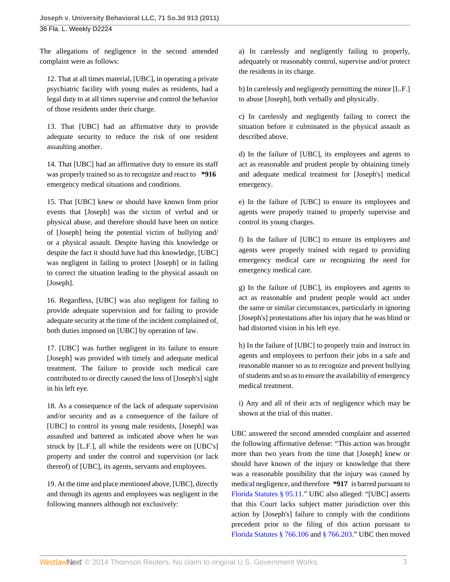The allegations of negligence in the second amended complaint were as follows:

12. That at all times material, [UBC], in operating a private psychiatric facility with young males as residents, had a legal duty to at all times supervise and control the behavior of those residents under their charge.

13. That [UBC] had an affirmative duty to provide adequate security to reduce the risk of one resident assaulting another.

14. That [UBC] had an affirmative duty to ensure its staff was properly trained so as to recognize and react to **\*916** emergency medical situations and conditions.

15. That [UBC] knew or should have known from prior events that [Joseph] was the victim of verbal and or physical abuse, and therefore should have been on notice of [Joseph] being the potential victim of bullying and/ or a physical assault. Despite having this knowledge or despite the fact it should have had this knowledge, [UBC] was negligent in failing to protect [Joseph] or in failing to correct the situation leading to the physical assault on [Joseph].

16. Regardless, [UBC] was also negligent for failing to provide adequate supervision and for failing to provide adequate security at the time of the incident complained of, both duties imposed on [UBC] by operation of law.

17. [UBC] was further negligent in its failure to ensure [Joseph] was provided with timely and adequate medical treatment. The failure to provide such medical care contributed to or directly caused the loss of [Joseph's] sight in his left eye.

18. As a consequence of the lack of adequate supervision and/or security and as a consequence of the failure of [UBC] to control its young male residents, [Joseph] was assaulted and battered as indicated above when he was struck by [L.F.], all while the residents were on [UBC's] property and under the control and supervision (or lack thereof) of [UBC], its agents, servants and employees.

19. At the time and place mentioned above, [UBC], directly and through its agents and employees was negligent in the following manners although not exclusively:

a) In carelessly and negligently failing to properly, adequately or reasonably control, supervise and/or protect the residents in its charge.

b) In carelessly and negligently permitting the minor [L.F.] to abuse [Joseph], both verbally and physically.

c) In carelessly and negligently failing to correct the situation before it culminated in the physical assault as described above.

d) In the failure of [UBC], its employees and agents to act as reasonable and prudent people by obtaining timely and adequate medical treatment for [Joseph's] medical emergency.

e) In the failure of [UBC] to ensure its employees and agents were properly trained to properly supervise and control its young charges.

f) In the failure of [UBC] to ensure its employees and agents were properly trained with regard to providing emergency medical care or recognizing the need for emergency medical care.

g) In the failure of [UBC], its employees and agents to act as reasonable and prudent people would act under the same or similar circumstances, particularly in ignoring [Joseph's] protestations after his injury that he was blind or had distorted vision in his left eye.

h) In the failure of [UBC] to properly train and instruct its agents and employees to perform their jobs in a safe and reasonable manner so as to recognize and prevent bullying of students and so as to ensure the availability of emergency medical treatment.

i) Any and all of their acts of negligence which may be shown at the trial of this matter.

UBC answered the second amended complaint and asserted the following affirmative defense: "This action was brought more than two years from the time that [Joseph] knew or should have known of the injury or knowledge that there was a reasonable possibility that the injury was caused by medical negligence, and therefore **\*917** is barred pursuant to [Florida Statutes § 95.11](http://www.westlaw.com/Link/Document/FullText?findType=L&pubNum=1000006&cite=FLSTS95.11&originatingDoc=Ic2bf7d2c017b11e1be8fdb5fa26a1033&refType=LQ&originationContext=document&vr=3.0&rs=cblt1.0&transitionType=DocumentItem&contextData=(sc.Default))." UBC also alleged: "[UBC] asserts that this Court lacks subject matter jurisdiction over this action by [Joseph's] failure to comply with the conditions precedent prior to the filing of this action pursuant to [Florida Statutes § 766.106](http://www.westlaw.com/Link/Document/FullText?findType=L&pubNum=1000006&cite=FLSTS766.106&originatingDoc=Ic2bf7d2c017b11e1be8fdb5fa26a1033&refType=LQ&originationContext=document&vr=3.0&rs=cblt1.0&transitionType=DocumentItem&contextData=(sc.Default)) and [§ 766.203](http://www.westlaw.com/Link/Document/FullText?findType=L&pubNum=1000006&cite=FLSTS766.203&originatingDoc=Ic2bf7d2c017b11e1be8fdb5fa26a1033&refType=LQ&originationContext=document&vr=3.0&rs=cblt1.0&transitionType=DocumentItem&contextData=(sc.Default))." UBC then moved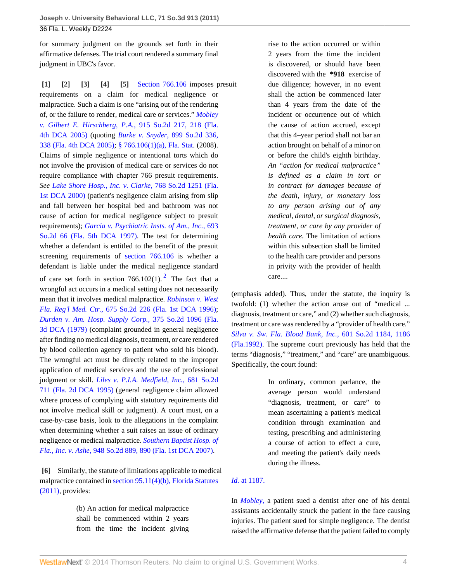for summary judgment on the grounds set forth in their affirmative defenses. The trial court rendered a summary final judgment in UBC's favor.

<span id="page-3-4"></span><span id="page-3-3"></span><span id="page-3-2"></span><span id="page-3-1"></span><span id="page-3-0"></span>**[\[1\]](#page-0-0) [\[2](#page-0-1)] [\[3\]](#page-0-2) [\[4\]](#page-0-3) [\[5](#page-0-4)]** [Section 766.106](http://www.westlaw.com/Link/Document/FullText?findType=L&pubNum=1000006&cite=FLSTS766.106&originatingDoc=Ic2bf7d2c017b11e1be8fdb5fa26a1033&refType=LQ&originationContext=document&vr=3.0&rs=cblt1.0&transitionType=DocumentItem&contextData=(sc.Default)) imposes presuit requirements on a claim for medical negligence or malpractice. Such a claim is one "arising out of the rendering of, or the failure to render, medical care or services." *[Mobley](http://www.westlaw.com/Link/Document/FullText?findType=Y&serNum=2007603789&pubNum=735&fi=co_pp_sp_735_218&originationContext=document&vr=3.0&rs=cblt1.0&transitionType=DocumentItem&contextData=(sc.Default)#co_pp_sp_735_218) [v. Gilbert E. Hirschberg, P.A.,](http://www.westlaw.com/Link/Document/FullText?findType=Y&serNum=2007603789&pubNum=735&fi=co_pp_sp_735_218&originationContext=document&vr=3.0&rs=cblt1.0&transitionType=DocumentItem&contextData=(sc.Default)#co_pp_sp_735_218)* 915 So.2d 217, 218 (Fla. [4th DCA 2005\)](http://www.westlaw.com/Link/Document/FullText?findType=Y&serNum=2007603789&pubNum=735&fi=co_pp_sp_735_218&originationContext=document&vr=3.0&rs=cblt1.0&transitionType=DocumentItem&contextData=(sc.Default)#co_pp_sp_735_218) (quoting *[Burke v. Snyder,](http://www.westlaw.com/Link/Document/FullText?findType=Y&serNum=2006295451&pubNum=735&fi=co_pp_sp_735_338&originationContext=document&vr=3.0&rs=cblt1.0&transitionType=DocumentItem&contextData=(sc.Default)#co_pp_sp_735_338)* 899 So.2d 336, [338 \(Fla. 4th DCA 2005\);](http://www.westlaw.com/Link/Document/FullText?findType=Y&serNum=2006295451&pubNum=735&fi=co_pp_sp_735_338&originationContext=document&vr=3.0&rs=cblt1.0&transitionType=DocumentItem&contextData=(sc.Default)#co_pp_sp_735_338) [§ 766.106\(1\)\(a\), Fla. Stat.](http://www.westlaw.com/Link/Document/FullText?findType=L&pubNum=1000006&cite=FLSTS766.106&originatingDoc=Ic2bf7d2c017b11e1be8fdb5fa26a1033&refType=SP&originationContext=document&vr=3.0&rs=cblt1.0&transitionType=DocumentItem&contextData=(sc.Default)#co_pp_9f800000f2221) (2008). Claims of simple negligence or intentional torts which do not involve the provision of medical care or services do not require compliance with chapter 766 presuit requirements. *See [Lake Shore Hosp., Inc. v. Clarke,](http://www.westlaw.com/Link/Document/FullText?findType=Y&serNum=2000571217&pubNum=735&originationContext=document&vr=3.0&rs=cblt1.0&transitionType=DocumentItem&contextData=(sc.Default))* 768 So.2d 1251 (Fla. [1st DCA 2000\)](http://www.westlaw.com/Link/Document/FullText?findType=Y&serNum=2000571217&pubNum=735&originationContext=document&vr=3.0&rs=cblt1.0&transitionType=DocumentItem&contextData=(sc.Default)) (patient's negligence claim arising from slip and fall between her hospital bed and bathroom was not cause of action for medical negligence subject to presuit requirements); *[Garcia v. Psychiatric Insts. of Am., Inc.,](http://www.westlaw.com/Link/Document/FullText?findType=Y&serNum=1997088895&pubNum=735&originationContext=document&vr=3.0&rs=cblt1.0&transitionType=DocumentItem&contextData=(sc.Default))* 693 [So.2d 66 \(Fla. 5th DCA 1997\)](http://www.westlaw.com/Link/Document/FullText?findType=Y&serNum=1997088895&pubNum=735&originationContext=document&vr=3.0&rs=cblt1.0&transitionType=DocumentItem&contextData=(sc.Default)). The test for determining whether a defendant is entitled to the benefit of the presuit screening requirements of [section 766.106](http://www.westlaw.com/Link/Document/FullText?findType=L&pubNum=1000006&cite=FLSTS766.106&originatingDoc=Ic2bf7d2c017b11e1be8fdb5fa26a1033&refType=LQ&originationContext=document&vr=3.0&rs=cblt1.0&transitionType=DocumentItem&contextData=(sc.Default)) is whether a defendant is liable under the medical negligence standard of care set forth in section 766.10[2](#page-5-1)(1).<sup>2</sup> The fact that a wrongful act occurs in a medical setting does not necessarily mean that it involves medical malpractice. *[Robinson v. West](http://www.westlaw.com/Link/Document/FullText?findType=Y&serNum=1996137368&pubNum=735&originationContext=document&vr=3.0&rs=cblt1.0&transitionType=DocumentItem&contextData=(sc.Default)) Fla. Reg'l Med. Ctr.,* [675 So.2d 226 \(Fla. 1st DCA 1996\)](http://www.westlaw.com/Link/Document/FullText?findType=Y&serNum=1996137368&pubNum=735&originationContext=document&vr=3.0&rs=cblt1.0&transitionType=DocumentItem&contextData=(sc.Default)); *[Durden v. Am. Hosp. Supply Corp.,](http://www.westlaw.com/Link/Document/FullText?findType=Y&serNum=1979134393&pubNum=735&originationContext=document&vr=3.0&rs=cblt1.0&transitionType=DocumentItem&contextData=(sc.Default))* 375 So.2d 1096 (Fla. [3d DCA \(1979\)](http://www.westlaw.com/Link/Document/FullText?findType=Y&serNum=1979134393&pubNum=735&originationContext=document&vr=3.0&rs=cblt1.0&transitionType=DocumentItem&contextData=(sc.Default)) (complaint grounded in general negligence after finding no medical diagnosis, treatment, or care rendered by blood collection agency to patient who sold his blood). The wrongful act must be directly related to the improper application of medical services and the use of professional judgment or skill. *[Liles v. P.I.A. Medfield, Inc.,](http://www.westlaw.com/Link/Document/FullText?findType=Y&serNum=1995221063&pubNum=735&originationContext=document&vr=3.0&rs=cblt1.0&transitionType=DocumentItem&contextData=(sc.Default))* 681 So.2d [711 \(Fla. 2d DCA 1995\)](http://www.westlaw.com/Link/Document/FullText?findType=Y&serNum=1995221063&pubNum=735&originationContext=document&vr=3.0&rs=cblt1.0&transitionType=DocumentItem&contextData=(sc.Default)) (general negligence claim allowed where process of complying with statutory requirements did not involve medical skill or judgment). A court must, on a case-by-case basis, look to the allegations in the complaint when determining whether a suit raises an issue of ordinary negligence or medical malpractice. *[Southern Baptist Hosp. of](http://www.westlaw.com/Link/Document/FullText?findType=Y&serNum=2011401367&pubNum=735&fi=co_pp_sp_735_890&originationContext=document&vr=3.0&rs=cblt1.0&transitionType=DocumentItem&contextData=(sc.Default)#co_pp_sp_735_890) Fla., Inc. v. Ashe,* [948 So.2d 889, 890 \(Fla. 1st DCA 2007\).](http://www.westlaw.com/Link/Document/FullText?findType=Y&serNum=2011401367&pubNum=735&fi=co_pp_sp_735_890&originationContext=document&vr=3.0&rs=cblt1.0&transitionType=DocumentItem&contextData=(sc.Default)#co_pp_sp_735_890)

<span id="page-3-5"></span>**[\[6\]](#page-0-5)** Similarly, the statute of limitations applicable to medical malpractice contained in [section 95.11\(4\)\(b\), Florida Statutes](http://www.westlaw.com/Link/Document/FullText?findType=L&pubNum=1000006&cite=FLSTS95.11&originatingDoc=Ic2bf7d2c017b11e1be8fdb5fa26a1033&refType=SP&originationContext=document&vr=3.0&rs=cblt1.0&transitionType=DocumentItem&contextData=(sc.Default)#co_pp_ea5b0000e1ba5) [\(2011\),](http://www.westlaw.com/Link/Document/FullText?findType=L&pubNum=1000006&cite=FLSTS95.11&originatingDoc=Ic2bf7d2c017b11e1be8fdb5fa26a1033&refType=SP&originationContext=document&vr=3.0&rs=cblt1.0&transitionType=DocumentItem&contextData=(sc.Default)#co_pp_ea5b0000e1ba5) provides:

> (b) An action for medical malpractice shall be commenced within 2 years from the time the incident giving

rise to the action occurred or within 2 years from the time the incident is discovered, or should have been discovered with the **\*918** exercise of due diligence; however, in no event shall the action be commenced later than 4 years from the date of the incident or occurrence out of which the cause of action accrued, except that this 4–year period shall not bar an action brought on behalf of a minor on or before the child's eighth birthday. *An "action for medical malpractice" is defined as a claim in tort or in contract for damages because of the death, injury, or monetary loss to any person arising out of any medical, dental, or surgical diagnosis, treatment, or care by any provider of health care.* The limitation of actions within this subsection shall be limited to the health care provider and persons in privity with the provider of health care....

<span id="page-3-6"></span>(emphasis added). Thus, under the statute, the inquiry is twofold: (1) whether the action arose out of "medical ... diagnosis, treatment or care," and (2) whether such diagnosis, treatment or care was rendered by a "provider of health care." *[Silva v. Sw. Fla. Blood Bank, Inc.,](http://www.westlaw.com/Link/Document/FullText?findType=Y&serNum=1992097609&pubNum=735&fi=co_pp_sp_735_1186&originationContext=document&vr=3.0&rs=cblt1.0&transitionType=DocumentItem&contextData=(sc.Default)#co_pp_sp_735_1186)* 601 So.2d 1184, 1186 [\(Fla.1992\).](http://www.westlaw.com/Link/Document/FullText?findType=Y&serNum=1992097609&pubNum=735&fi=co_pp_sp_735_1186&originationContext=document&vr=3.0&rs=cblt1.0&transitionType=DocumentItem&contextData=(sc.Default)#co_pp_sp_735_1186) The supreme court previously has held that the terms "diagnosis," "treatment," and "care" are unambiguous. Specifically, the court found:

> In ordinary, common parlance, the average person would understand "diagnosis, treatment, or care" to mean ascertaining a patient's medical condition through examination and testing, prescribing and administering a course of action to effect a cure, and meeting the patient's daily needs during the illness.

# *Id.* [at 1187.](http://www.westlaw.com/Link/Document/FullText?findType=Y&serNum=1992097609&originationContext=document&vr=3.0&rs=cblt1.0&transitionType=DocumentItem&contextData=(sc.Default))

In *[Mobley,](http://www.westlaw.com/Link/Document/FullText?findType=Y&serNum=2007603789&originationContext=document&vr=3.0&rs=cblt1.0&transitionType=DocumentItem&contextData=(sc.Default))* a patient sued a dentist after one of his dental assistants accidentally struck the patient in the face causing injuries. The patient sued for simple negligence. The dentist raised the affirmative defense that the patient failed to comply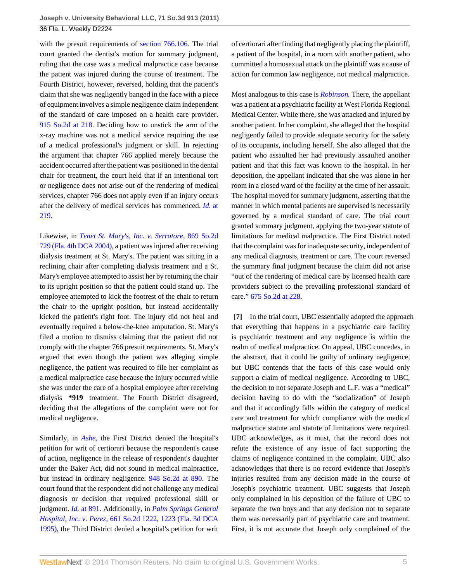with the presuit requirements of [section 766.106](http://www.westlaw.com/Link/Document/FullText?findType=L&pubNum=1000006&cite=FLSTS766.106&originatingDoc=Ic2bf7d2c017b11e1be8fdb5fa26a1033&refType=LQ&originationContext=document&vr=3.0&rs=cblt1.0&transitionType=DocumentItem&contextData=(sc.Default)). The trial court granted the dentist's motion for summary judgment, ruling that the case was a medical malpractice case because the patient was injured during the course of treatment. The Fourth District, however, reversed, holding that the patient's claim that she was negligently banged in the face with a piece of equipment involves a simple negligence claim independent of the standard of care imposed on a health care provider. [915 So.2d at 218.](http://www.westlaw.com/Link/Document/FullText?findType=Y&serNum=2007603789&pubNum=735&fi=co_pp_sp_735_218&originationContext=document&vr=3.0&rs=cblt1.0&transitionType=DocumentItem&contextData=(sc.Default)#co_pp_sp_735_218) Deciding how to unstick the arm of the x-ray machine was not a medical service requiring the use of a medical professional's judgment or skill. In rejecting the argument that chapter 766 applied merely because the accident occurred after the patient was positioned in the dental chair for treatment, the court held that if an intentional tort or negligence does not arise out of the rendering of medical services, chapter 766 does not apply even if an injury occurs after the delivery of medical services has commenced. *[Id.](http://www.westlaw.com/Link/Document/FullText?findType=Y&serNum=2007603789&originationContext=document&vr=3.0&rs=cblt1.0&transitionType=DocumentItem&contextData=(sc.Default))* at [219.](http://www.westlaw.com/Link/Document/FullText?findType=Y&serNum=2007603789&originationContext=document&vr=3.0&rs=cblt1.0&transitionType=DocumentItem&contextData=(sc.Default))

Likewise, in *[Tenet St. Mary's, Inc. v. Serratore,](http://www.westlaw.com/Link/Document/FullText?findType=Y&serNum=2004300826&pubNum=735&originationContext=document&vr=3.0&rs=cblt1.0&transitionType=DocumentItem&contextData=(sc.Default))* 869 So.2d [729 \(Fla. 4th DCA 2004\)](http://www.westlaw.com/Link/Document/FullText?findType=Y&serNum=2004300826&pubNum=735&originationContext=document&vr=3.0&rs=cblt1.0&transitionType=DocumentItem&contextData=(sc.Default)), a patient was injured after receiving dialysis treatment at St. Mary's. The patient was sitting in a reclining chair after completing dialysis treatment and a St. Mary's employee attempted to assist her by returning the chair to its upright position so that the patient could stand up. The employee attempted to kick the footrest of the chair to return the chair to the upright position, but instead accidentally kicked the patient's right foot. The injury did not heal and eventually required a below-the-knee amputation. St. Mary's filed a motion to dismiss claiming that the patient did not comply with the chapter 766 presuit requirements. St. Mary's argued that even though the patient was alleging simple negligence, the patient was required to file her complaint as a medical malpractice case because the injury occurred while she was under the care of a hospital employee after receiving dialysis **\*919** treatment. The Fourth District disagreed, deciding that the allegations of the complaint were not for medical negligence.

Similarly, in *[Ashe,](http://www.westlaw.com/Link/Document/FullText?findType=Y&serNum=2011401367&originationContext=document&vr=3.0&rs=cblt1.0&transitionType=DocumentItem&contextData=(sc.Default))* the First District denied the hospital's petition for writ of certiorari because the respondent's cause of action, negligence in the release of respondent's daughter under the Baker Act, did not sound in medical malpractice, but instead in ordinary negligence. [948 So.2d at 890.](http://www.westlaw.com/Link/Document/FullText?findType=Y&serNum=2011401367&pubNum=735&fi=co_pp_sp_735_890&originationContext=document&vr=3.0&rs=cblt1.0&transitionType=DocumentItem&contextData=(sc.Default)#co_pp_sp_735_890) The court found that the respondent did not challenge any medical diagnosis or decision that required professional skill or judgment. *Id.* [at 891.](http://www.westlaw.com/Link/Document/FullText?findType=Y&serNum=2011401367&originationContext=document&vr=3.0&rs=cblt1.0&transitionType=DocumentItem&contextData=(sc.Default)) Additionally, in *[Palm Springs General](http://www.westlaw.com/Link/Document/FullText?findType=Y&serNum=1995185793&pubNum=735&fi=co_pp_sp_735_1223&originationContext=document&vr=3.0&rs=cblt1.0&transitionType=DocumentItem&contextData=(sc.Default)#co_pp_sp_735_1223) Hospital, Inc. v. Perez,* [661 So.2d 1222, 1223 \(Fla. 3d DCA](http://www.westlaw.com/Link/Document/FullText?findType=Y&serNum=1995185793&pubNum=735&fi=co_pp_sp_735_1223&originationContext=document&vr=3.0&rs=cblt1.0&transitionType=DocumentItem&contextData=(sc.Default)#co_pp_sp_735_1223) [1995\)](http://www.westlaw.com/Link/Document/FullText?findType=Y&serNum=1995185793&pubNum=735&fi=co_pp_sp_735_1223&originationContext=document&vr=3.0&rs=cblt1.0&transitionType=DocumentItem&contextData=(sc.Default)#co_pp_sp_735_1223), the Third District denied a hospital's petition for writ of certiorari after finding that negligently placing the plaintiff, a patient of the hospital, in a room with another patient, who committed a homosexual attack on the plaintiff was a cause of action for common law negligence, not medical malpractice.

Most analogous to this case is *[Robinson.](http://www.westlaw.com/Link/Document/FullText?findType=Y&serNum=1996137368&originationContext=document&vr=3.0&rs=cblt1.0&transitionType=DocumentItem&contextData=(sc.Default))* There, the appellant was a patient at a psychiatric facility at West Florida Regional Medical Center. While there, she was attacked and injured by another patient. In her complaint, she alleged that the hospital negligently failed to provide adequate security for the safety of its occupants, including herself. She also alleged that the patient who assaulted her had previously assaulted another patient and that this fact was known to the hospital. In her deposition, the appellant indicated that she was alone in her room in a closed ward of the facility at the time of her assault. The hospital moved for summary judgment, asserting that the manner in which mental patients are supervised is necessarily governed by a medical standard of care. The trial court granted summary judgment, applying the two-year statute of limitations for medical malpractice. The First District noted that the complaint was for inadequate security, independent of any medical diagnosis, treatment or care. The court reversed the summary final judgment because the claim did not arise "out of the rendering of medical care by licensed health care providers subject to the prevailing professional standard of care." [675 So.2d at 228.](http://www.westlaw.com/Link/Document/FullText?findType=Y&serNum=1996137368&pubNum=735&fi=co_pp_sp_735_228&originationContext=document&vr=3.0&rs=cblt1.0&transitionType=DocumentItem&contextData=(sc.Default)#co_pp_sp_735_228)

<span id="page-4-0"></span>**[\[7\]](#page-1-0)** In the trial court, UBC essentially adopted the approach that everything that happens in a psychiatric care facility is psychiatric treatment and any negligence is within the realm of medical malpractice. On appeal, UBC concedes, in the abstract, that it could be guilty of ordinary negligence, but UBC contends that the facts of this case would only support a claim of medical negligence. According to UBC, the decision to not separate Joseph and L.F. was a "medical" decision having to do with the "socialization" of Joseph and that it accordingly falls within the category of medical care and treatment for which compliance with the medical malpractice statute and statute of limitations were required. UBC acknowledges, as it must, that the record does not refute the existence of any issue of fact supporting the claims of negligence contained in the complaint. UBC also acknowledges that there is no record evidence that Joseph's injuries resulted from any decision made in the course of Joseph's psychiatric treatment. UBC suggests that Joseph only complained in his deposition of the failure of UBC to separate the two boys and that any decision not to separate them was necessarily part of psychiatric care and treatment. First, it is not accurate that Joseph only complained of the